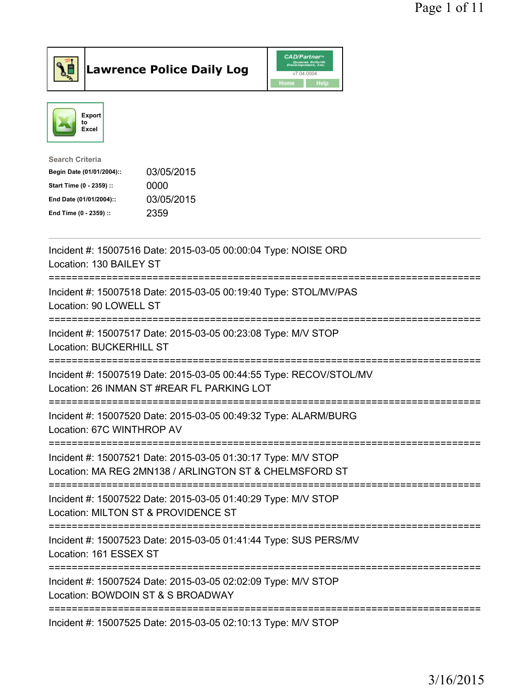

Lawrence Police Daily Log CAD/Partners



| Search Criteria           |            |
|---------------------------|------------|
| Begin Date (01/01/2004):: | 03/05/2015 |
| Start Time (0 - 2359) ::  | 0000       |
| End Date (01/01/2004)::   | 03/05/2015 |
| End Time (0 - 2359) ::    | 2359       |

| Incident #: 15007516 Date: 2015-03-05 00:00:04 Type: NOISE ORD<br>Location: 130 BAILEY ST                                              |
|----------------------------------------------------------------------------------------------------------------------------------------|
| Incident #: 15007518 Date: 2015-03-05 00:19:40 Type: STOL/MV/PAS<br>Location: 90 LOWELL ST                                             |
| Incident #: 15007517 Date: 2015-03-05 00:23:08 Type: M/V STOP<br><b>Location: BUCKERHILL ST</b>                                        |
| Incident #: 15007519 Date: 2015-03-05 00:44:55 Type: RECOV/STOL/MV<br>Location: 26 INMAN ST #REAR FL PARKING LOT                       |
| Incident #: 15007520 Date: 2015-03-05 00:49:32 Type: ALARM/BURG<br>Location: 67C WINTHROP AV                                           |
| Incident #: 15007521 Date: 2015-03-05 01:30:17 Type: M/V STOP<br>Location: MA REG 2MN138 / ARLINGTON ST & CHELMSFORD ST                |
| Incident #: 15007522 Date: 2015-03-05 01:40:29 Type: M/V STOP<br>Location: MILTON ST & PROVIDENCE ST<br>============================== |
| Incident #: 15007523 Date: 2015-03-05 01:41:44 Type: SUS PERS/MV<br>Location: 161 ESSEX ST<br>------------------------------------     |
| Incident #: 15007524 Date: 2015-03-05 02:02:09 Type: M/V STOP<br>Location: BOWDOIN ST & S BROADWAY                                     |
| Incident #: 15007525 Date: 2015-03-05 02:10:13 Type: M/V STOP                                                                          |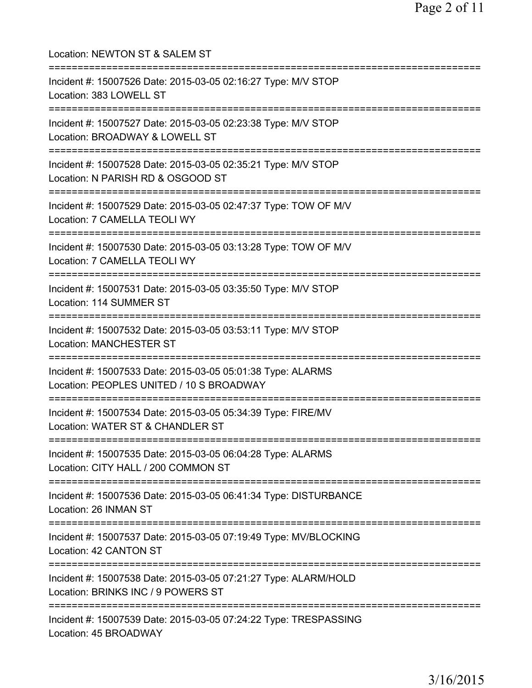| Location: NEWTON ST & SALEM ST                                                                                                        |
|---------------------------------------------------------------------------------------------------------------------------------------|
| Incident #: 15007526 Date: 2015-03-05 02:16:27 Type: M/V STOP<br>Location: 383 LOWELL ST                                              |
| Incident #: 15007527 Date: 2015-03-05 02:23:38 Type: M/V STOP<br>Location: BROADWAY & LOWELL ST<br>===========================        |
| Incident #: 15007528 Date: 2015-03-05 02:35:21 Type: M/V STOP<br>Location: N PARISH RD & OSGOOD ST                                    |
| Incident #: 15007529 Date: 2015-03-05 02:47:37 Type: TOW OF M/V<br>Location: 7 CAMELLA TEOLI WY                                       |
| Incident #: 15007530 Date: 2015-03-05 03:13:28 Type: TOW OF M/V<br>Location: 7 CAMELLA TEOLI WY<br>======================             |
| Incident #: 15007531 Date: 2015-03-05 03:35:50 Type: M/V STOP<br>Location: 114 SUMMER ST                                              |
| Incident #: 15007532 Date: 2015-03-05 03:53:11 Type: M/V STOP<br><b>Location: MANCHESTER ST</b>                                       |
| Incident #: 15007533 Date: 2015-03-05 05:01:38 Type: ALARMS<br>Location: PEOPLES UNITED / 10 S BROADWAY<br>========================== |
| Incident #: 15007534 Date: 2015-03-05 05:34:39 Type: FIRE/MV<br>Location: WATER ST & CHANDLER ST                                      |
| Incident #: 15007535 Date: 2015-03-05 06:04:28 Type: ALARMS<br>Location: CITY HALL / 200 COMMON ST                                    |
| ================================<br>Incident #: 15007536 Date: 2015-03-05 06:41:34 Type: DISTURBANCE<br>Location: 26 INMAN ST         |
| ===================================<br>Incident #: 15007537 Date: 2015-03-05 07:19:49 Type: MV/BLOCKING<br>Location: 42 CANTON ST     |
| Incident #: 15007538 Date: 2015-03-05 07:21:27 Type: ALARM/HOLD<br>Location: BRINKS INC / 9 POWERS ST                                 |
| Incident #: 15007539 Date: 2015-03-05 07:24:22 Type: TRESPASSING<br>Location: 45 BROADWAY                                             |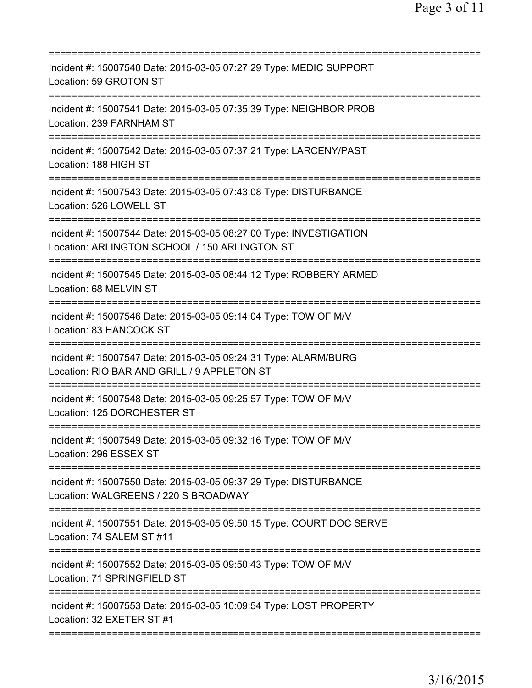| Incident #: 15007540 Date: 2015-03-05 07:27:29 Type: MEDIC SUPPORT<br>Location: 59 GROTON ST                                               |
|--------------------------------------------------------------------------------------------------------------------------------------------|
| Incident #: 15007541 Date: 2015-03-05 07:35:39 Type: NEIGHBOR PROB<br>Location: 239 FARNHAM ST                                             |
| Incident #: 15007542 Date: 2015-03-05 07:37:21 Type: LARCENY/PAST<br>Location: 188 HIGH ST                                                 |
| Incident #: 15007543 Date: 2015-03-05 07:43:08 Type: DISTURBANCE<br>Location: 526 LOWELL ST                                                |
| Incident #: 15007544 Date: 2015-03-05 08:27:00 Type: INVESTIGATION<br>Location: ARLINGTON SCHOOL / 150 ARLINGTON ST                        |
| Incident #: 15007545 Date: 2015-03-05 08:44:12 Type: ROBBERY ARMED<br>Location: 68 MELVIN ST                                               |
| Incident #: 15007546 Date: 2015-03-05 09:14:04 Type: TOW OF M/V<br>Location: 83 HANCOCK ST                                                 |
| Incident #: 15007547 Date: 2015-03-05 09:24:31 Type: ALARM/BURG<br>Location: RIO BAR AND GRILL / 9 APPLETON ST<br>======================== |
| Incident #: 15007548 Date: 2015-03-05 09:25:57 Type: TOW OF M/V<br>Location: 125 DORCHESTER ST                                             |
| Incident #: 15007549 Date: 2015-03-05 09:32:16 Type: TOW OF M/V<br>Location: 296 ESSEX ST                                                  |
| Incident #: 15007550 Date: 2015-03-05 09:37:29 Type: DISTURBANCE<br>Location: WALGREENS / 220 S BROADWAY                                   |
| Incident #: 15007551 Date: 2015-03-05 09:50:15 Type: COURT DOC SERVE<br>Location: 74 SALEM ST #11                                          |
| Incident #: 15007552 Date: 2015-03-05 09:50:43 Type: TOW OF M/V<br>Location: 71 SPRINGFIELD ST                                             |
| Incident #: 15007553 Date: 2015-03-05 10:09:54 Type: LOST PROPERTY<br>Location: 32 EXETER ST #1                                            |
|                                                                                                                                            |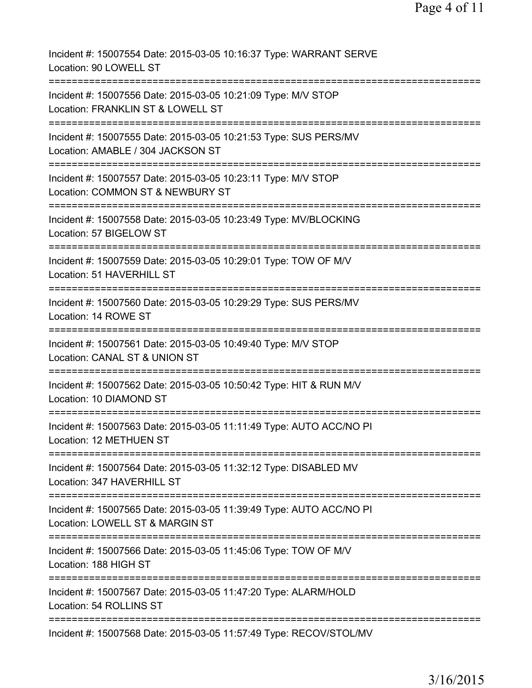| Incident #: 15007554 Date: 2015-03-05 10:16:37 Type: WARRANT SERVE<br>Location: 90 LOWELL ST           |
|--------------------------------------------------------------------------------------------------------|
| Incident #: 15007556 Date: 2015-03-05 10:21:09 Type: M/V STOP<br>Location: FRANKLIN ST & LOWELL ST     |
| Incident #: 15007555 Date: 2015-03-05 10:21:53 Type: SUS PERS/MV<br>Location: AMABLE / 304 JACKSON ST  |
| Incident #: 15007557 Date: 2015-03-05 10:23:11 Type: M/V STOP<br>Location: COMMON ST & NEWBURY ST      |
| Incident #: 15007558 Date: 2015-03-05 10:23:49 Type: MV/BLOCKING<br>Location: 57 BIGELOW ST            |
| Incident #: 15007559 Date: 2015-03-05 10:29:01 Type: TOW OF M/V<br>Location: 51 HAVERHILL ST           |
| Incident #: 15007560 Date: 2015-03-05 10:29:29 Type: SUS PERS/MV<br>Location: 14 ROWE ST               |
| Incident #: 15007561 Date: 2015-03-05 10:49:40 Type: M/V STOP<br>Location: CANAL ST & UNION ST         |
| Incident #: 15007562 Date: 2015-03-05 10:50:42 Type: HIT & RUN M/V<br>Location: 10 DIAMOND ST          |
| Incident #: 15007563 Date: 2015-03-05 11:11:49 Type: AUTO ACC/NO PI<br>Location: 12 METHUEN ST         |
| Incident #: 15007564 Date: 2015-03-05 11:32:12 Type: DISABLED MV<br>Location: 347 HAVERHILL ST         |
| Incident #: 15007565 Date: 2015-03-05 11:39:49 Type: AUTO ACC/NO PI<br>Location: LOWELL ST & MARGIN ST |
| Incident #: 15007566 Date: 2015-03-05 11:45:06 Type: TOW OF M/V<br>Location: 188 HIGH ST               |
| Incident #: 15007567 Date: 2015-03-05 11:47:20 Type: ALARM/HOLD<br>Location: 54 ROLLINS ST             |
| Incident #: 15007568 Date: 2015-03-05 11:57:49 Type: RECOV/STOL/MV                                     |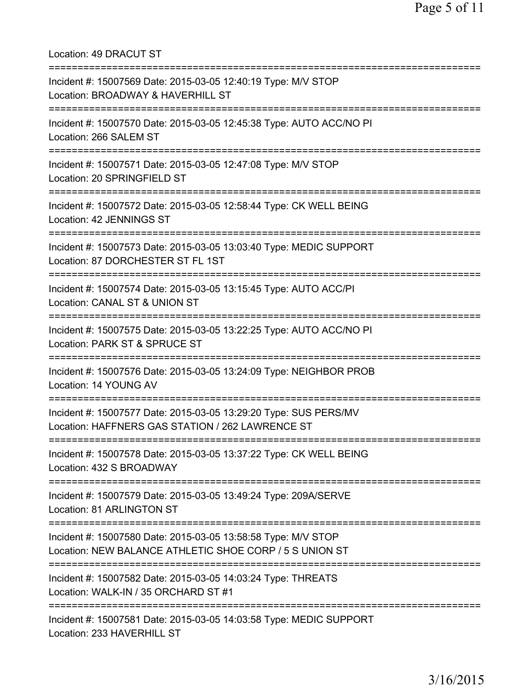Location: 49 DRACUT ST =========================================================================== Incident #: 15007569 Date: 2015-03-05 12:40:19 Type: M/V STOP Location: BROADWAY & HAVERHILL ST =========================================================================== Incident #: 15007570 Date: 2015-03-05 12:45:38 Type: AUTO ACC/NO PI Location: 266 SALEM ST =========================================================================== Incident #: 15007571 Date: 2015-03-05 12:47:08 Type: M/V STOP Location: 20 SPRINGFIELD ST =========================================================================== Incident #: 15007572 Date: 2015-03-05 12:58:44 Type: CK WELL BEING Location: 42 JENNINGS ST =========================================================================== Incident #: 15007573 Date: 2015-03-05 13:03:40 Type: MEDIC SUPPORT Location: 87 DORCHESTER ST FL 1ST =========================================================================== Incident #: 15007574 Date: 2015-03-05 13:15:45 Type: AUTO ACC/PI Location: CANAL ST & UNION ST =========================================================================== Incident #: 15007575 Date: 2015-03-05 13:22:25 Type: AUTO ACC/NO PI Location: PARK ST & SPRUCE ST =========================================================================== Incident #: 15007576 Date: 2015-03-05 13:24:09 Type: NEIGHBOR PROB Location: 14 YOUNG AV =========================================================================== Incident #: 15007577 Date: 2015-03-05 13:29:20 Type: SUS PERS/MV Location: HAFFNERS GAS STATION / 262 LAWRENCE ST =========================================================================== Incident #: 15007578 Date: 2015-03-05 13:37:22 Type: CK WELL BEING Location: 432 S BROADWAY =========================================================================== Incident #: 15007579 Date: 2015-03-05 13:49:24 Type: 209A/SERVE Location: 81 ARLINGTON ST =========================================================================== Incident #: 15007580 Date: 2015-03-05 13:58:58 Type: M/V STOP Location: NEW BALANCE ATHLETIC SHOE CORP / 5 S UNION ST =========================================================================== Incident #: 15007582 Date: 2015-03-05 14:03:24 Type: THREATS Location: WALK-IN / 35 ORCHARD ST #1 =========================================================================== Incident #: 15007581 Date: 2015-03-05 14:03:58 Type: MEDIC SUPPORT Location: 233 HAVERHILL ST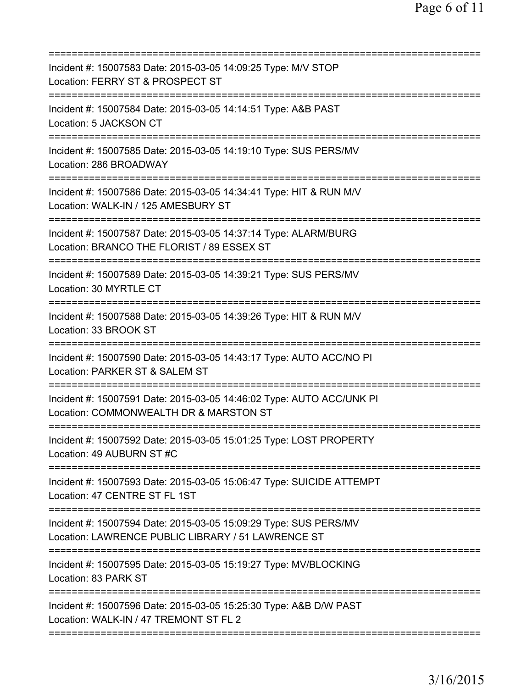| Incident #: 15007583 Date: 2015-03-05 14:09:25 Type: M/V STOP<br>Location: FERRY ST & PROSPECT ST<br>===========================                        |
|---------------------------------------------------------------------------------------------------------------------------------------------------------|
| Incident #: 15007584 Date: 2015-03-05 14:14:51 Type: A&B PAST<br>Location: 5 JACKSON CT                                                                 |
| Incident #: 15007585 Date: 2015-03-05 14:19:10 Type: SUS PERS/MV<br>Location: 286 BROADWAY                                                              |
| Incident #: 15007586 Date: 2015-03-05 14:34:41 Type: HIT & RUN M/V<br>Location: WALK-IN / 125 AMESBURY ST                                               |
| Incident #: 15007587 Date: 2015-03-05 14:37:14 Type: ALARM/BURG<br>Location: BRANCO THE FLORIST / 89 ESSEX ST<br>========================               |
| Incident #: 15007589 Date: 2015-03-05 14:39:21 Type: SUS PERS/MV<br>Location: 30 MYRTLE CT                                                              |
| Incident #: 15007588 Date: 2015-03-05 14:39:26 Type: HIT & RUN M/V<br>Location: 33 BROOK ST                                                             |
| Incident #: 15007590 Date: 2015-03-05 14:43:17 Type: AUTO ACC/NO PI<br>Location: PARKER ST & SALEM ST<br>============================<br>============== |
| Incident #: 15007591 Date: 2015-03-05 14:46:02 Type: AUTO ACC/UNK PI<br>Location: COMMONWEALTH DR & MARSTON ST                                          |
| Incident #: 15007592 Date: 2015-03-05 15:01:25 Type: LOST PROPERTY<br>Location: 49 AUBURN ST #C<br>;===================================                 |
| Incident #: 15007593 Date: 2015-03-05 15:06:47 Type: SUICIDE ATTEMPT<br>Location: 47 CENTRE ST FL 1ST                                                   |
| Incident #: 15007594 Date: 2015-03-05 15:09:29 Type: SUS PERS/MV<br>Location: LAWRENCE PUBLIC LIBRARY / 51 LAWRENCE ST                                  |
| Incident #: 15007595 Date: 2015-03-05 15:19:27 Type: MV/BLOCKING<br>Location: 83 PARK ST                                                                |
| Incident #: 15007596 Date: 2015-03-05 15:25:30 Type: A&B D/W PAST<br>Location: WALK-IN / 47 TREMONT ST FL 2                                             |
|                                                                                                                                                         |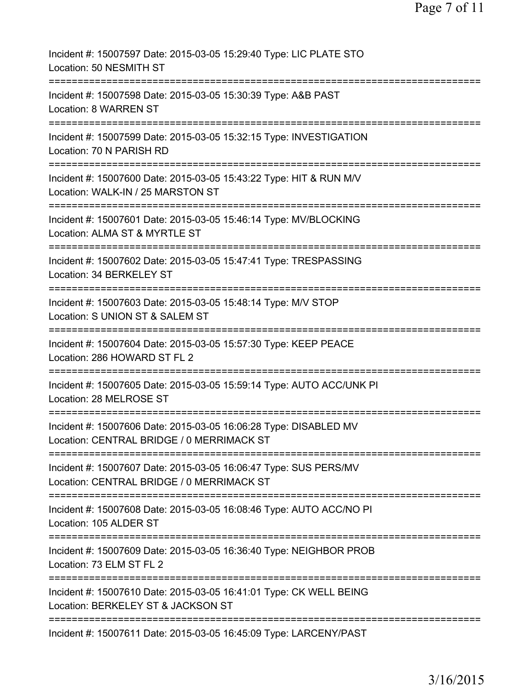Page 7 of 11

| Incident #: 15007597 Date: 2015-03-05 15:29:40 Type: LIC PLATE STO<br>Location: 50 NESMITH ST                              |
|----------------------------------------------------------------------------------------------------------------------------|
| Incident #: 15007598 Date: 2015-03-05 15:30:39 Type: A&B PAST<br>Location: 8 WARREN ST                                     |
| Incident #: 15007599 Date: 2015-03-05 15:32:15 Type: INVESTIGATION<br>Location: 70 N PARISH RD                             |
| Incident #: 15007600 Date: 2015-03-05 15:43:22 Type: HIT & RUN M/V<br>Location: WALK-IN / 25 MARSTON ST                    |
| =====================<br>Incident #: 15007601 Date: 2015-03-05 15:46:14 Type: MV/BLOCKING<br>Location: ALMA ST & MYRTLE ST |
| Incident #: 15007602 Date: 2015-03-05 15:47:41 Type: TRESPASSING<br>Location: 34 BERKELEY ST                               |
| Incident #: 15007603 Date: 2015-03-05 15:48:14 Type: M/V STOP<br>Location: S UNION ST & SALEM ST                           |
| ========<br>Incident #: 15007604 Date: 2015-03-05 15:57:30 Type: KEEP PEACE<br>Location: 286 HOWARD ST FL 2                |
| ---------<br>Incident #: 15007605 Date: 2015-03-05 15:59:14 Type: AUTO ACC/UNK PI<br>Location: 28 MELROSE ST               |
| Incident #: 15007606 Date: 2015-03-05 16:06:28 Type: DISABLED MV<br>Location: CENTRAL BRIDGE / 0 MERRIMACK ST              |
| Incident #: 15007607 Date: 2015-03-05 16:06:47 Type: SUS PERS/MV<br>Location: CENTRAL BRIDGE / 0 MERRIMACK ST              |
| Incident #: 15007608 Date: 2015-03-05 16:08:46 Type: AUTO ACC/NO PI<br>Location: 105 ALDER ST                              |
| Incident #: 15007609 Date: 2015-03-05 16:36:40 Type: NEIGHBOR PROB<br>Location: 73 ELM ST FL 2                             |
| Incident #: 15007610 Date: 2015-03-05 16:41:01 Type: CK WELL BEING<br>Location: BERKELEY ST & JACKSON ST                   |
| Incident #: 15007611 Date: 2015-03-05 16:45:09 Type: LARCENY/PAST                                                          |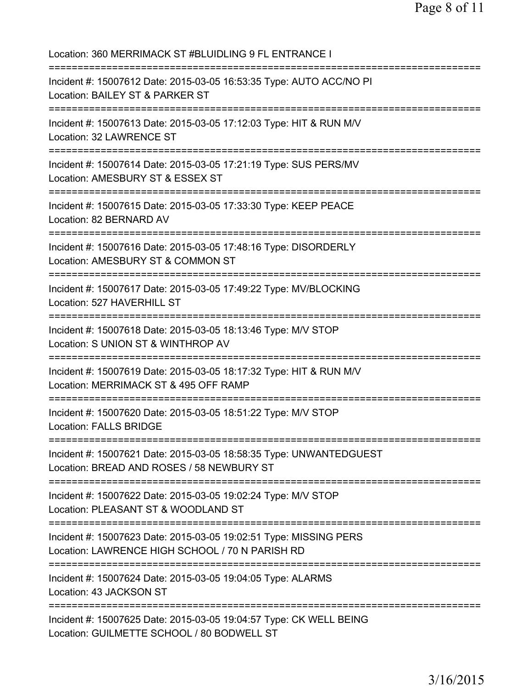| Location: 360 MERRIMACK ST #BLUIDLING 9 FL ENTRANCE I                                                                                            |
|--------------------------------------------------------------------------------------------------------------------------------------------------|
| Incident #: 15007612 Date: 2015-03-05 16:53:35 Type: AUTO ACC/NO PI<br>Location: BAILEY ST & PARKER ST<br>====================================== |
| Incident #: 15007613 Date: 2015-03-05 17:12:03 Type: HIT & RUN M/V<br>Location: 32 LAWRENCE ST<br>=================================              |
| Incident #: 15007614 Date: 2015-03-05 17:21:19 Type: SUS PERS/MV<br>Location: AMESBURY ST & ESSEX ST                                             |
| Incident #: 15007615 Date: 2015-03-05 17:33:30 Type: KEEP PEACE<br>Location: 82 BERNARD AV                                                       |
| Incident #: 15007616 Date: 2015-03-05 17:48:16 Type: DISORDERLY<br>Location: AMESBURY ST & COMMON ST<br>:========================                |
| Incident #: 15007617 Date: 2015-03-05 17:49:22 Type: MV/BLOCKING<br>Location: 527 HAVERHILL ST<br>=====================================          |
| Incident #: 15007618 Date: 2015-03-05 18:13:46 Type: M/V STOP<br>Location: S UNION ST & WINTHROP AV                                              |
| Incident #: 15007619 Date: 2015-03-05 18:17:32 Type: HIT & RUN M/V<br>Location: MERRIMACK ST & 495 OFF RAMP                                      |
| Incident #: 15007620 Date: 2015-03-05 18:51:22 Type: M/V STOP<br><b>Location: FALLS BRIDGE</b>                                                   |
| Incident #: 15007621 Date: 2015-03-05 18:58:35 Type: UNWANTEDGUEST<br>Location: BREAD AND ROSES / 58 NEWBURY ST                                  |
| Incident #: 15007622 Date: 2015-03-05 19:02:24 Type: M/V STOP<br>Location: PLEASANT ST & WOODLAND ST                                             |
| Incident #: 15007623 Date: 2015-03-05 19:02:51 Type: MISSING PERS<br>Location: LAWRENCE HIGH SCHOOL / 70 N PARISH RD                             |
| Incident #: 15007624 Date: 2015-03-05 19:04:05 Type: ALARMS<br>Location: 43 JACKSON ST                                                           |
| Incident #: 15007625 Date: 2015-03-05 19:04:57 Type: CK WELL BEING<br>Location: GUILMETTE SCHOOL / 80 BODWELL ST                                 |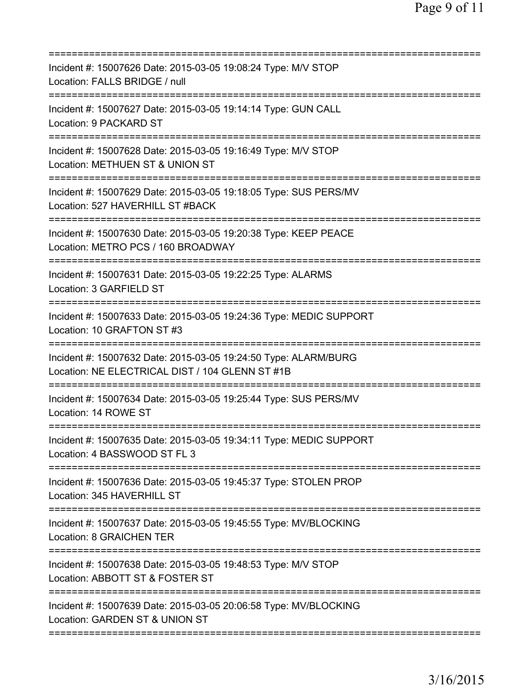| Incident #: 15007626 Date: 2015-03-05 19:08:24 Type: M/V STOP<br>Location: FALLS BRIDGE / null<br>======================                    |
|---------------------------------------------------------------------------------------------------------------------------------------------|
| Incident #: 15007627 Date: 2015-03-05 19:14:14 Type: GUN CALL<br>Location: 9 PACKARD ST                                                     |
| Incident #: 15007628 Date: 2015-03-05 19:16:49 Type: M/V STOP<br>Location: METHUEN ST & UNION ST                                            |
| Incident #: 15007629 Date: 2015-03-05 19:18:05 Type: SUS PERS/MV<br>Location: 527 HAVERHILL ST #BACK                                        |
| Incident #: 15007630 Date: 2015-03-05 19:20:38 Type: KEEP PEACE<br>Location: METRO PCS / 160 BROADWAY                                       |
| Incident #: 15007631 Date: 2015-03-05 19:22:25 Type: ALARMS<br>Location: 3 GARFIELD ST<br>======================================            |
| Incident #: 15007633 Date: 2015-03-05 19:24:36 Type: MEDIC SUPPORT<br>Location: 10 GRAFTON ST #3                                            |
| Incident #: 15007632 Date: 2015-03-05 19:24:50 Type: ALARM/BURG<br>Location: NE ELECTRICAL DIST / 104 GLENN ST #1B                          |
| Incident #: 15007634 Date: 2015-03-05 19:25:44 Type: SUS PERS/MV<br>Location: 14 ROWE ST                                                    |
| Incident #: 15007635 Date: 2015-03-05 19:34:11 Type: MEDIC SUPPORT<br>Location: 4 BASSWOOD ST FL 3<br>;==================================== |
| Incident #: 15007636 Date: 2015-03-05 19:45:37 Type: STOLEN PROP<br>Location: 345 HAVERHILL ST                                              |
| Incident #: 15007637 Date: 2015-03-05 19:45:55 Type: MV/BLOCKING<br><b>Location: 8 GRAICHEN TER</b>                                         |
| Incident #: 15007638 Date: 2015-03-05 19:48:53 Type: M/V STOP<br>Location: ABBOTT ST & FOSTER ST                                            |
| Incident #: 15007639 Date: 2015-03-05 20:06:58 Type: MV/BLOCKING<br>Location: GARDEN ST & UNION ST                                          |
|                                                                                                                                             |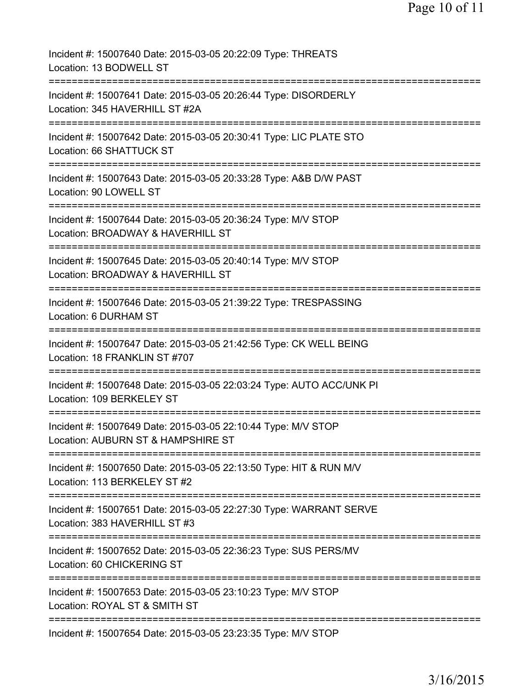| Incident #: 15007640 Date: 2015-03-05 20:22:09 Type: THREATS<br>Location: 13 BODWELL ST                                           |
|-----------------------------------------------------------------------------------------------------------------------------------|
| Incident #: 15007641 Date: 2015-03-05 20:26:44 Type: DISORDERLY<br>Location: 345 HAVERHILL ST #2A                                 |
| Incident #: 15007642 Date: 2015-03-05 20:30:41 Type: LIC PLATE STO<br>Location: 66 SHATTUCK ST                                    |
| Incident #: 15007643 Date: 2015-03-05 20:33:28 Type: A&B D/W PAST<br>Location: 90 LOWELL ST                                       |
| Incident #: 15007644 Date: 2015-03-05 20:36:24 Type: M/V STOP<br>Location: BROADWAY & HAVERHILL ST                                |
| ===========================<br>Incident #: 15007645 Date: 2015-03-05 20:40:14 Type: M/V STOP<br>Location: BROADWAY & HAVERHILL ST |
| =======================<br>Incident #: 15007646 Date: 2015-03-05 21:39:22 Type: TRESPASSING<br>Location: 6 DURHAM ST              |
| Incident #: 15007647 Date: 2015-03-05 21:42:56 Type: CK WELL BEING<br>Location: 18 FRANKLIN ST #707                               |
| Incident #: 15007648 Date: 2015-03-05 22:03:24 Type: AUTO ACC/UNK PI<br>Location: 109 BERKELEY ST                                 |
| Incident #: 15007649 Date: 2015-03-05 22:10:44 Type: M/V STOP<br>Location: AUBURN ST & HAMPSHIRE ST                               |
| Incident #: 15007650 Date: 2015-03-05 22:13:50 Type: HIT & RUN M/V<br>Location: 113 BERKELEY ST #2                                |
| Incident #: 15007651 Date: 2015-03-05 22:27:30 Type: WARRANT SERVE<br>Location: 383 HAVERHILL ST #3                               |
| ========================<br>Incident #: 15007652 Date: 2015-03-05 22:36:23 Type: SUS PERS/MV<br>Location: 60 CHICKERING ST        |
| Incident #: 15007653 Date: 2015-03-05 23:10:23 Type: M/V STOP<br>Location: ROYAL ST & SMITH ST                                    |
| Incident #: 15007654 Date: 2015-03-05 23:23:35 Type: M/V STOP                                                                     |